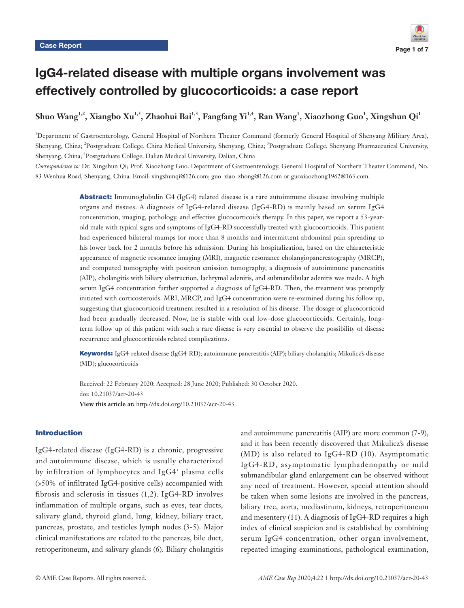# IgG4-related disease with multiple organs involvement was effectively controlled by glucocorticoids: a case report

**Shuo Wang1,2, Xiangbo Xu1,3, Zhaohui Bai1,3, Fangfang Yi1,4, Ran Wang1 , Xiaozhong Guo1 , Xingshun Qi1**

1 Department of Gastroenterology, General Hospital of Northern Theater Command (formerly General Hospital of Shenyang Military Area), Shenyang, China; <sup>2</sup>Postgraduate College, China Medical University, Shenyang, China; <sup>3</sup>Postgraduate College, Shenyang Pharmaceutical University, Shenyang, China; 4 Postgraduate College, Dalian Medical University, Dalian, China

*Correspondence to:* Dr. Xingshun Qi; Prof. Xiaozhong Guo. Department of Gastroenterology, General Hospital of Northern Theater Command, No. 83 Wenhua Road, Shenyang, China. Email: xingshunqi@126.com; guo\_xiao\_zhong@126.com or guoxiaozhong1962@163.com.

> Abstract: Immunoglobulin G4 (IgG4) related disease is a rare autoimmune disease involving multiple organs and tissues. A diagnosis of IgG4-related disease (IgG4-RD) is mainly based on serum IgG4 concentration, imaging, pathology, and effective glucocorticoids therapy. In this paper, we report a 53-yearold male with typical signs and symptoms of IgG4-RD successfully treated with glucocorticoids. This patient had experienced bilateral mumps for more than 8 months and intermittent abdominal pain spreading to his lower back for 2 months before his admission. During his hospitalization, based on the characteristic appearance of magnetic resonance imaging (MRI), magnetic resonance cholangiopancreatography (MRCP), and computed tomography with positron emission tomography, a diagnosis of autoimmune pancreatitis (AIP), cholangitis with biliary obstruction, lachrymal adenitis, and submandibular adenitis was made. A high serum IgG4 concentration further supported a diagnosis of IgG4-RD. Then, the treatment was promptly initiated with corticosteroids. MRI, MRCP, and IgG4 concentration were re-examined during his follow up, suggesting that glucocorticoid treatment resulted in a resolution of his disease. The dosage of glucocorticoid had been gradually decreased. Now, he is stable with oral low-dose glucocorticoids. Certainly, longterm follow up of this patient with such a rare disease is very essential to observe the possibility of disease recurrence and glucocorticoids related complications.

> Keywords: IgG4-related disease (IgG4-RD); autoimmune pancreatitis (AIP); biliary cholangitis; Mikulicz's disease (MD); glucocorticoids

Received: 22 February 2020; Accepted: 28 June 2020; Published: 30 October 2020. doi: 10.21037/acr-20-43 **View this article at:** http://dx.doi.org/10.21037/acr-20-43

# Introduction

IgG4-related disease (IgG4-RD) is a chronic, progressive and autoimmune disease, which is usually characterized by infiltration of lymphocytes and IgG4<sup>+</sup> plasma cells (>50% of infiltrated IgG4-positive cells) accompanied with fibrosis and sclerosis in tissues (1,2). IgG4-RD involves inflammation of multiple organs, such as eyes, tear ducts, salivary gland, thyroid gland, lung, kidney, biliary tract, pancreas, prostate, and testicles lymph nodes (3-5). Major clinical manifestations are related to the pancreas, bile duct, retroperitoneum, and salivary glands (6). Biliary cholangitis

and autoimmune pancreatitis (AIP) are more common (7-9), and it has been recently discovered that Mikulicz's disease (MD) is also related to IgG4-RD (10). Asymptomatic IgG4-RD, asymptomatic lymphadenopathy or mild submandibular gland enlargement can be observed without any need of treatment. However, special attention should be taken when some lesions are involved in the pancreas, biliary tree, aorta, mediastinum, kidneys, retroperitoneum and mesentery (11). A diagnosis of IgG4-RD requires a high index of clinical suspicion and is established by combining serum IgG4 concentration, other organ involvement, repeated imaging examinations, pathological examination,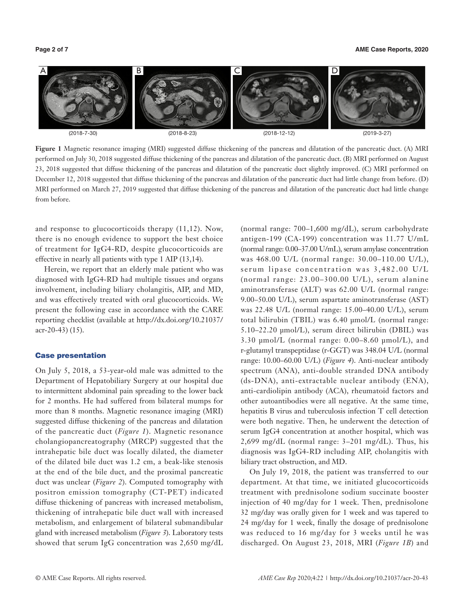

**Figure 1** Magnetic resonance imaging (MRI) suggested diffuse thickening of the pancreas and dilatation of the pancreatic duct. (A) MRI performed on July 30, 2018 suggested diffuse thickening of the pancreas and dilatation of the pancreatic duct. (B) MRI performed on August 23, 2018 suggested that diffuse thickening of the pancreas and dilatation of the pancreatic duct slightly improved. (C) MRI performed on December 12, 2018 suggested that diffuse thickening of the pancreas and dilatation of the pancreatic duct had little change from before. (D) MRI performed on March 27, 2019 suggested that diffuse thickening of the pancreas and dilatation of the pancreatic duct had little change from before.

and response to glucocorticoids therapy (11,12). Now, there is no enough evidence to support the best choice of treatment for IgG4-RD, despite glucocorticoids are effective in nearly all patients with type 1 AIP (13,14).

Herein, we report that an elderly male patient who was diagnosed with IgG4-RD had multiple tissues and organs involvement, including biliary cholangitis, AIP, and MD, and was effectively treated with oral glucocorticoids. We present the following case in accordance with the CARE reporting checklist (available at [http://dx.doi.org/10.21037/](http://dx.doi.org/10.21037/acr-20-43) [acr-20-43](http://dx.doi.org/10.21037/acr-20-43)) (15).

## Case presentation

On July 5, 2018, a 53-year-old male was admitted to the Department of Hepatobiliary Surgery at our hospital due to intermittent abdominal pain spreading to the lower back for 2 months. He had suffered from bilateral mumps for more than 8 months. Magnetic resonance imaging (MRI) suggested diffuse thickening of the pancreas and dilatation of the pancreatic duct (*Figure 1*). Magnetic resonance cholangiopancreatography (MRCP) suggested that the intrahepatic bile duct was locally dilated, the diameter of the dilated bile duct was 1.2 cm, a beak-like stenosis at the end of the bile duct, and the proximal pancreatic duct was unclear (*Figure 2*). Computed tomography with positron emission tomography (CT-PET) indicated diffuse thickening of pancreas with increased metabolism, thickening of intrahepatic bile duct wall with increased metabolism, and enlargement of bilateral submandibular gland with increased metabolism (*Figure 3*). Laboratory tests showed that serum IgG concentration was 2,650 mg/dL

(normal range: 700–1,600 mg/dL), serum carbohydrate antigen-199 (CA-199) concentration was 11.77 U/mL (normal range: 0.00–37.00 U/mL), serum amylase concentration was 468.00 U/L (normal range: 30.00–110.00 U/L), serum lipase concentration was 3,482.00 U/L (normal range: 23.00–300.00 U/L), serum alanine aminotransferase (ALT) was 62.00 U/L (normal range: 9.00–50.00 U/L), serum aspartate aminotransferase (AST) was 22.48 U/L (normal range: 15.00–40.00 U/L), serum total bilirubin (TBIL) was 6.40 μmol/L (normal range: 5.10–22.20 μmol/L), serum direct bilirubin (DBIL) was 3.30 μmol/L (normal range: 0.00–8.60 μmol/L), and r-glutamyl transpeptidase (r-GGT) was 348.04 U/L (normal range: 10.00–60.00 U/L) (*Figure 4*). Anti-nuclear antibody spectrum (ANA), anti-double stranded DNA antibody (ds-DNA), anti-extractable nuclear antibody (ENA), anti-cardiolipin antibody (ACA), rheumatoid factors and other autoantibodies were all negative. At the same time, hepatitis B virus and tuberculosis infection T cell detection were both negative. Then, he underwent the detection of serum IgG4 concentration at another hospital, which was 2,699 mg/dL (normal range: 3–201 mg/dL). Thus, his diagnosis was IgG4-RD including AIP, cholangitis with biliary tract obstruction, and MD.

On July 19, 2018, the patient was transferred to our department. At that time, we initiated glucocorticoids treatment with prednisolone sodium succinate booster injection of 40 mg/day for 1 week. Then, prednisolone 32 mg/day was orally given for 1 week and was tapered to 24 mg/day for 1 week, finally the dosage of prednisolone was reduced to 16 mg/day for 3 weeks until he was discharged. On August 23, 2018, MRI (*Figure 1B*) and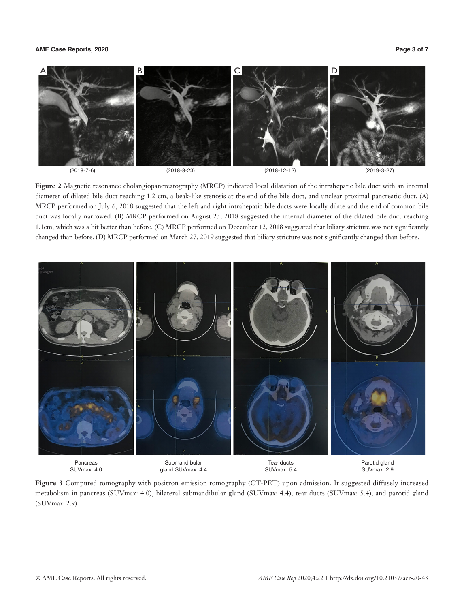# **AME Case Reports, 2020 Page 3 of 7**



**Figure 2** Magnetic resonance cholangiopancreatography (MRCP) indicated local dilatation of the intrahepatic bile duct with an internal diameter of dilated bile duct reaching 1.2 cm, a beak-like stenosis at the end of the bile duct, and unclear proximal pancreatic duct. (A) MRCP performed on July 6, 2018 suggested that the left and right intrahepatic bile ducts were locally dilate and the end of common bile duct was locally narrowed. (B) MRCP performed on August 23, 2018 suggested the internal diameter of the dilated bile duct reaching 1.1cm, which was a bit better than before. (C) MRCP performed on December 12, 2018 suggested that biliary stricture was not significantly changed than before. (D) MRCP performed on March 27, 2019 suggested that biliary stricture was not significantly changed than before.



**Figure 3** Computed tomography with positron emission tomography (CT-PET) upon admission. It suggested diffusely increased metabolism in pancreas (SUVmax: 4.0), bilateral submandibular gland (SUVmax: 4.4), tear ducts (SUVmax: 5.4), and parotid gland (SUVmax: 2.9).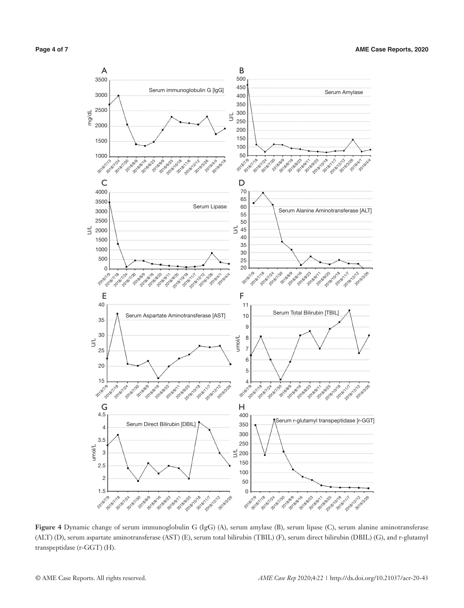

**Figure 4** Dynamic change of serum immunoglobulin G (IgG) (A), serum amylase (B), serum lipase (C), serum alanine aminotransferase (ALT) (D), serum aspartate aminotransferase (AST) (E), serum total bilirubin (TBIL) (F), serum direct bilirubin (DBIL) (G), and r-glutamyl transpeptidase (r-GGT) (H).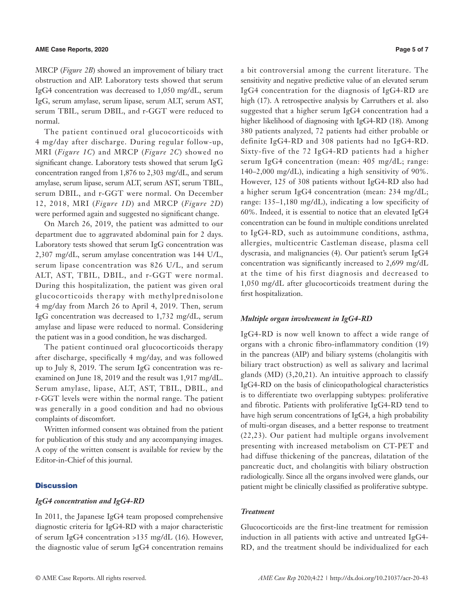MRCP (*Figure 2B*) showed an improvement of biliary tract obstruction and AIP. Laboratory tests showed that serum IgG4 concentration was decreased to 1,050 mg/dL, serum IgG, serum amylase, serum lipase, serum ALT, serum AST, serum TBIL, serum DBIL, and r-GGT were reduced to normal.

The patient continued oral glucocorticoids with 4 mg/day after discharge. During regular follow-up, MRI (*Figure 1C*) and MRCP (*Figure 2C*) showed no significant change. Laboratory tests showed that serum IgG concentration ranged from 1,876 to 2,303 mg/dL, and serum amylase, serum lipase, serum ALT, serum AST, serum TBIL, serum DBIL, and r-GGT were normal. On December 12, 2018, MRI (*Figure 1D*) and MRCP (*Figure 2D*) were performed again and suggested no significant change.

On March 26, 2019, the patient was admitted to our department due to aggravated abdominal pain for 2 days. Laboratory tests showed that serum IgG concentration was 2,307 mg/dL, serum amylase concentration was 144 U/L, serum lipase concentration was 826 U/L, and serum ALT, AST, TBIL, DBIL, and r-GGT were normal. During this hospitalization, the patient was given oral glucocorticoids therapy with methylprednisolone 4 mg/day from March 26 to April 4, 2019. Then, serum IgG concentration was decreased to 1,732 mg/dL, serum amylase and lipase were reduced to normal. Considering the patient was in a good condition, he was discharged.

The patient continued oral glucocorticoids therapy after discharge, specifically 4 mg/day, and was followed up to July 8, 2019. The serum IgG concentration was reexamined on June 18, 2019 and the result was 1,917 mg/dL. Serum amylase, lipase, ALT, AST, TBIL, DBIL, and r-GGT levels were within the normal range. The patient was generally in a good condition and had no obvious complaints of discomfort.

Written informed consent was obtained from the patient for publication of this study and any accompanying images. A copy of the written consent is available for review by the Editor-in-Chief of this journal.

### **Discussion**

#### *IgG4 concentration and IgG4-RD*

In 2011, the Japanese IgG4 team proposed comprehensive diagnostic criteria for IgG4-RD with a major characteristic of serum IgG4 concentration >135 mg/dL (16). However, the diagnostic value of serum IgG4 concentration remains a bit controversial among the current literature. The sensitivity and negative predictive value of an elevated serum IgG4 concentration for the diagnosis of IgG4-RD are high (17). A retrospective analysis by Carruthers et al. also suggested that a higher serum IgG4 concentration had a higher likelihood of diagnosing with IgG4-RD (18). Among 380 patients analyzed, 72 patients had either probable or definite IgG4-RD and 308 patients had no IgG4-RD. Sixty-five of the 72 IgG4-RD patients had a higher serum IgG4 concentration (mean: 405 mg/dL; range: 140–2,000 mg/dL), indicating a high sensitivity of 90%. However, 125 of 308 patients without IgG4-RD also had a higher serum IgG4 concentration (mean: 234 mg/dL; range: 135–1,180 mg/dL), indicating a low specificity of 60%. Indeed, it is essential to notice that an elevated IgG4 concentration can be found in multiple conditions unrelated to IgG4-RD, such as autoimmune conditions, asthma, allergies, multicentric Castleman disease, plasma cell dyscrasia, and malignancies (4). Our patient's serum IgG4 concentration was significantly increased to 2,699 mg/dL at the time of his first diagnosis and decreased to 1,050 mg/dL after glucocorticoids treatment during the first hospitalization.

### *Multiple organ involvement in IgG4-RD*

IgG4-RD is now well known to affect a wide range of organs with a chronic fibro-inflammatory condition (19) in the pancreas (AIP) and biliary systems (cholangitis with biliary tract obstruction) as well as salivary and lacrimal glands (MD) (3,20,21). An intuitive approach to classify IgG4-RD on the basis of clinicopathological characteristics is to differentiate two overlapping subtypes: proliferative and fibrotic. Patients with proliferative IgG4-RD tend to have high serum concentrations of IgG4, a high probability of multi-organ diseases, and a better response to treatment (22,23). Our patient had multiple organs involvement presenting with increased metabolism on CT-PET and had diffuse thickening of the pancreas, dilatation of the pancreatic duct, and cholangitis with biliary obstruction radiologically. Since all the organs involved were glands, our patient might be clinically classified as proliferative subtype.

#### *Treatment*

Glucocorticoids are the first-line treatment for remission induction in all patients with active and untreated IgG4- RD, and the treatment should be individualized for each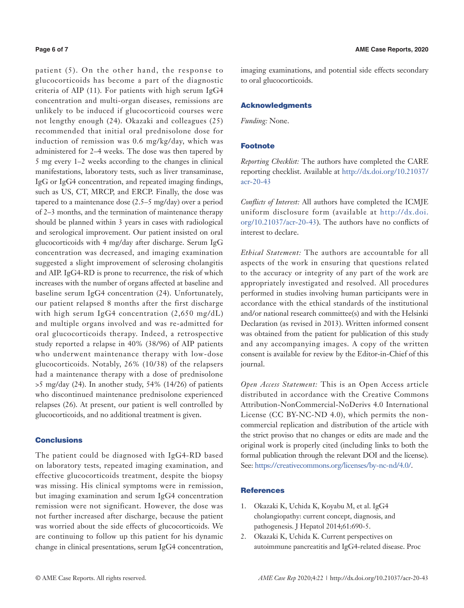patient (5). On the other hand, the response to glucocorticoids has become a part of the diagnostic criteria of AIP (11). For patients with high serum IgG4 concentration and multi-organ diseases, remissions are unlikely to be induced if glucocorticoid courses were not lengthy enough (24). Okazaki and colleagues (25) recommended that initial oral prednisolone dose for induction of remission was 0.6 mg/kg/day, which was administered for 2–4 weeks. The dose was then tapered by 5 mg every 1–2 weeks according to the changes in clinical manifestations, laboratory tests, such as liver transaminase, IgG or IgG4 concentration, and repeated imaging findings, such as US, CT, MRCP, and ERCP. Finally, the dose was tapered to a maintenance dose (2.5–5 mg/day) over a period of 2–3 months, and the termination of maintenance therapy should be planned within 3 years in cases with radiological and serological improvement. Our patient insisted on oral glucocorticoids with 4 mg/day after discharge. Serum IgG concentration was decreased, and imaging examination suggested a slight improvement of sclerosing cholangitis and AIP. IgG4-RD is prone to recurrence, the risk of which increases with the number of organs affected at baseline and baseline serum IgG4 concentration (24). Unfortunately, our patient relapsed 8 months after the first discharge with high serum IgG4 concentration (2,650 mg/dL) and multiple organs involved and was re-admitted for oral glucocorticoids therapy. Indeed, a retrospective study reported a relapse in 40% (38/96) of AIP patients who underwent maintenance therapy with low-dose glucocorticoids. Notably, 26% (10/38) of the relapsers had a maintenance therapy with a dose of prednisolone >5 mg/day (24). In another study, 54% (14/26) of patients who discontinued maintenance prednisolone experienced relapses (26). At present, our patient is well controlled by glucocorticoids, and no additional treatment is given.

# **Conclusions**

The patient could be diagnosed with IgG4-RD based on laboratory tests, repeated imaging examination, and effective glucocorticoids treatment, despite the biopsy was missing. His clinical symptoms were in remission, but imaging examination and serum IgG4 concentration remission were not significant. However, the dose was not further increased after discharge, because the patient was worried about the side effects of glucocorticoids. We are continuing to follow up this patient for his dynamic change in clinical presentations, serum IgG4 concentration,

imaging examinations, and potential side effects secondary to oral glucocorticoids.

# Acknowledgments

*Funding:* None.

## Footnote

*Reporting Checklist:* The authors have completed the CARE reporting checklist. Available at [http://dx.doi.org/10.21037/](http://dx.doi.org/10.21037/acr-20-43) [acr-20-43](http://dx.doi.org/10.21037/acr-20-43)

*Conflicts of Interest:* All authors have completed the ICMJE uniform disclosure form (available at [http://dx.doi.](http://dx.doi.org/10.21037/acr-20-43) [org/10.21037/acr-20-43](http://dx.doi.org/10.21037/acr-20-43)). The authors have no conflicts of interest to declare.

*Ethical Statement:* The authors are accountable for all aspects of the work in ensuring that questions related to the accuracy or integrity of any part of the work are appropriately investigated and resolved. All procedures performed in studies involving human participants were in accordance with the ethical standards of the institutional and/or national research committee(s) and with the Helsinki Declaration (as revised in 2013). Written informed consent was obtained from the patient for publication of this study and any accompanying images. A copy of the written consent is available for review by the Editor-in-Chief of this journal.

*Open Access Statement:* This is an Open Access article distributed in accordance with the Creative Commons Attribution-NonCommercial-NoDerivs 4.0 International License (CC BY-NC-ND 4.0), which permits the noncommercial replication and distribution of the article with the strict proviso that no changes or edits are made and the original work is properly cited (including links to both the formal publication through the relevant DOI and the license). See: [https://creativecommons.org/licenses/by-nc-nd/4.0/.](https://creativecommons.org/licenses/by-nc-nd/4.0/)

# **References**

- 1. Okazaki K, Uchida K, Koyabu M, et al. IgG4 cholangiopathy: current concept, diagnosis, and pathogenesis. J Hepatol 2014;61:690-5.
- 2. Okazaki K, Uchida K. Current perspectives on autoimmune pancreatitis and IgG4-related disease. Proc